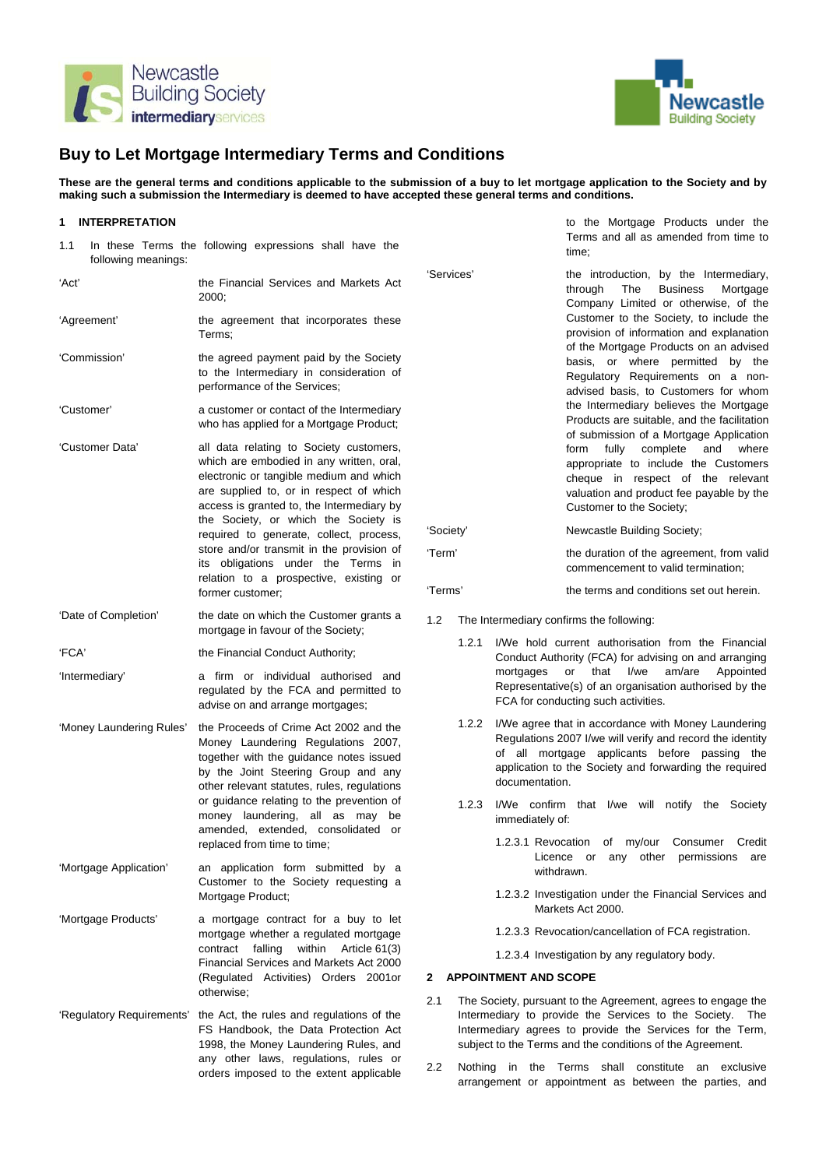



# **Buy to Let Mortgage Intermediary Terms and Conditions**

**These are the general terms and conditions applicable to the submission of a buy to let mortgage application to the Society and by making such a submission the Intermediary is deemed to have accepted these general terms and conditions.** 

#### **1 INTERPRETATION**

| 1.1<br>following meanings: | In these Terms the following expressions shall have the                                                                                                                                                                                                                                                                                                                                                                                                          |  |
|----------------------------|------------------------------------------------------------------------------------------------------------------------------------------------------------------------------------------------------------------------------------------------------------------------------------------------------------------------------------------------------------------------------------------------------------------------------------------------------------------|--|
| 'Act'                      | the Financial Services and Markets Act<br>2000;                                                                                                                                                                                                                                                                                                                                                                                                                  |  |
| 'Agreement'                | the agreement that incorporates these<br>Terms:                                                                                                                                                                                                                                                                                                                                                                                                                  |  |
| 'Commission'               | the agreed payment paid by the Society<br>to the Intermediary in consideration of<br>performance of the Services;                                                                                                                                                                                                                                                                                                                                                |  |
| 'Customer'                 | a customer or contact of the Intermediary<br>who has applied for a Mortgage Product;                                                                                                                                                                                                                                                                                                                                                                             |  |
| 'Customer Data'            | all data relating to Society customers,<br>which are embodied in any written, oral,<br>electronic or tangible medium and which<br>are supplied to, or in respect of which<br>access is granted to, the Intermediary by<br>the Society, or which the Society is<br>required to generate, collect, process,<br>store and/or transmit in the provision of<br>obligations under the Terms<br>its<br>in<br>relation to a prospective, existing or<br>former customer; |  |
| 'Date of Completion'       | the date on which the Customer grants a<br>mortgage in favour of the Society;                                                                                                                                                                                                                                                                                                                                                                                    |  |
| 'FCA'                      | the Financial Conduct Authority;                                                                                                                                                                                                                                                                                                                                                                                                                                 |  |
| 'Intermediary'             | firm or individual authorised<br>and<br>a<br>regulated by the FCA and permitted to<br>advise on and arrange mortgages;                                                                                                                                                                                                                                                                                                                                           |  |
| 'Money Laundering Rules'   | the Proceeds of Crime Act 2002 and the<br>Money Laundering Regulations 2007,<br>together with the guidance notes issued<br>by the Joint Steering Group and any<br>other relevant statutes, rules, regulations<br>or guidance relating to the prevention of<br>money laundering,<br>all as<br>may<br>be<br>amended, extended, consolidated or<br>replaced from time to time;                                                                                      |  |
| 'Mortgage Application'     | application form submitted by<br>an<br>a<br>Customer to the Society requesting a<br>Mortgage Product;                                                                                                                                                                                                                                                                                                                                                            |  |
| 'Mortgage Products'        | a mortgage contract for a buy to let<br>mortgage whether a regulated mortgage<br>within<br>contract<br>falling<br>Article 61(3)<br>Financial Services and Markets Act 2000<br>(Regulated Activities) Orders<br>2001or<br>otherwise:                                                                                                                                                                                                                              |  |
| 'Regulatory Requirements'  | the Act, the rules and regulations of the<br>FS Handbook, the Data Protection Act<br>1998, the Money Laundering Rules, and<br>any other laws, regulations, rules or<br>orders imposed to the extent applicable                                                                                                                                                                                                                                                   |  |

to the Mortgage Products under the Terms and all as amended from time to time;

'Services' the introduction, by the Intermediary, through The Business Mortgage Company Limited or otherwise, of the Customer to the Society, to include the provision of information and explanation of the Mortgage Products on an advised basis, or where permitted by the Regulatory Requirements on a nonadvised basis, to Customers for whom the Intermediary believes the Mortgage Products are suitable, and the facilitation of submission of a Mortgage Application form fully complete and where appropriate to include the Customers cheque in respect of the relevant valuation and product fee payable by the Customer to the Society; 'Society' Newcastle Building Society;

'Term' the duration of the agreement, from valid commencement to valid termination;

'Terms' the terms and conditions set out herein.

- 1.2 The Intermediary confirms the following:
	- 1.2.1 I/We hold current authorisation from the Financial Conduct Authority (FCA) for advising on and arranging mortgages or that I/we am/are Appointed Representative(s) of an organisation authorised by the FCA for conducting such activities.
	- 1.2.2 I/We agree that in accordance with Money Laundering Regulations 2007 I/we will verify and record the identity of all mortgage applicants before passing the application to the Society and forwarding the required documentation.
	- 1.2.3 I/We confirm that I/we will notify the Society immediately of:
		- 1.2.3.1 Revocation of my/our Consumer Credit Licence or any other permissions are withdrawn.
		- 1.2.3.2 Investigation under the Financial Services and Markets Act 2000.
		- 1.2.3.3 Revocation/cancellation of FCA registration.

1.2.3.4 Investigation by any regulatory body.

# **2 APPOINTMENT AND SCOPE**

- 2.1 The Society, pursuant to the Agreement, agrees to engage the Intermediary to provide the Services to the Society. The Intermediary agrees to provide the Services for the Term, subject to the Terms and the conditions of the Agreement.
- 2.2 Nothing in the Terms shall constitute an exclusive arrangement or appointment as between the parties, and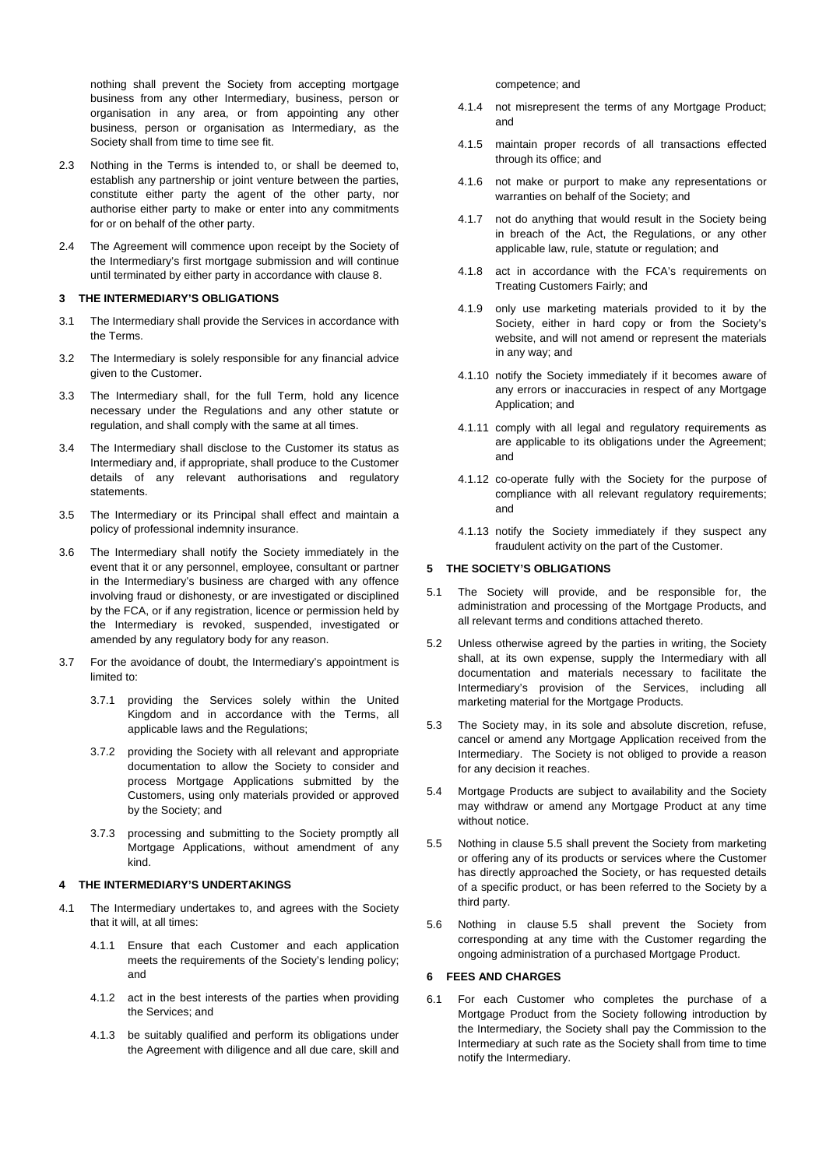nothing shall prevent the Society from accepting mortgage business from any other Intermediary, business, person or organisation in any area, or from appointing any other business, person or organisation as Intermediary, as the Society shall from time to time see fit.

- 2.3 Nothing in the Terms is intended to, or shall be deemed to, establish any partnership or joint venture between the parties, constitute either party the agent of the other party, nor authorise either party to make or enter into any commitments for or on behalf of the other party.
- 2.4 The Agreement will commence upon receipt by the Society of the Intermediary's first mortgage submission and will continue until terminated by either party in accordance with clause 8.

# **3 THE INTERMEDIARY'S OBLIGATIONS**

- 3.1 The Intermediary shall provide the Services in accordance with the Terms.
- 3.2 The Intermediary is solely responsible for any financial advice given to the Customer.
- 3.3 The Intermediary shall, for the full Term, hold any licence necessary under the Regulations and any other statute or regulation, and shall comply with the same at all times.
- 3.4 The Intermediary shall disclose to the Customer its status as Intermediary and, if appropriate, shall produce to the Customer details of any relevant authorisations and regulatory statements.
- 3.5 The Intermediary or its Principal shall effect and maintain a policy of professional indemnity insurance.
- 3.6 The Intermediary shall notify the Society immediately in the event that it or any personnel, employee, consultant or partner in the Intermediary's business are charged with any offence involving fraud or dishonesty, or are investigated or disciplined by the FCA, or if any registration, licence or permission held by the Intermediary is revoked, suspended, investigated or amended by any regulatory body for any reason.
- 3.7 For the avoidance of doubt, the Intermediary's appointment is limited to:
	- 3.7.1 providing the Services solely within the United Kingdom and in accordance with the Terms, all applicable laws and the Regulations;
	- 3.7.2 providing the Society with all relevant and appropriate documentation to allow the Society to consider and process Mortgage Applications submitted by the Customers, using only materials provided or approved by the Society; and
	- 3.7.3 processing and submitting to the Society promptly all Mortgage Applications, without amendment of any kind.

#### **4 THE INTERMEDIARY'S UNDERTAKINGS**

- 4.1 The Intermediary undertakes to, and agrees with the Society that it will, at all times:
	- 4.1.1 Ensure that each Customer and each application meets the requirements of the Society's lending policy; and
	- 4.1.2 act in the best interests of the parties when providing the Services; and
	- 4.1.3 be suitably qualified and perform its obligations under the Agreement with diligence and all due care, skill and

competence; and

- 4.1.4 not misrepresent the terms of any Mortgage Product; and
- 4.1.5 maintain proper records of all transactions effected through its office; and
- 4.1.6 not make or purport to make any representations or warranties on behalf of the Society; and
- 4.1.7 not do anything that would result in the Society being in breach of the Act, the Regulations, or any other applicable law, rule, statute or regulation; and
- 4.1.8 act in accordance with the FCA's requirements on Treating Customers Fairly; and
- 4.1.9 only use marketing materials provided to it by the Society, either in hard copy or from the Society's website, and will not amend or represent the materials in any way; and
- 4.1.10 notify the Society immediately if it becomes aware of any errors or inaccuracies in respect of any Mortgage Application; and
- 4.1.11 comply with all legal and regulatory requirements as are applicable to its obligations under the Agreement; and
- 4.1.12 co-operate fully with the Society for the purpose of compliance with all relevant regulatory requirements; and
- 4.1.13 notify the Society immediately if they suspect any fraudulent activity on the part of the Customer.

## **5 THE SOCIETY'S OBLIGATIONS**

- 5.1 The Society will provide, and be responsible for, the administration and processing of the Mortgage Products, and all relevant terms and conditions attached thereto.
- 5.2 Unless otherwise agreed by the parties in writing, the Society shall, at its own expense, supply the Intermediary with all documentation and materials necessary to facilitate the Intermediary's provision of the Services, including all marketing material for the Mortgage Products.
- 5.3 The Society may, in its sole and absolute discretion, refuse, cancel or amend any Mortgage Application received from the Intermediary. The Society is not obliged to provide a reason for any decision it reaches.
- 5.4 Mortgage Products are subject to availability and the Society may withdraw or amend any Mortgage Product at any time without notice.
- 5.5 Nothing in clause 5.5 shall prevent the Society from marketing or offering any of its products or services where the Customer has directly approached the Society, or has requested details of a specific product, or has been referred to the Society by a third party.
- 5.6 Nothing in clause 5.5 shall prevent the Society from corresponding at any time with the Customer regarding the ongoing administration of a purchased Mortgage Product.

#### **6 FEES AND CHARGES**

6.1 For each Customer who completes the purchase of a Mortgage Product from the Society following introduction by the Intermediary, the Society shall pay the Commission to the Intermediary at such rate as the Society shall from time to time notify the Intermediary.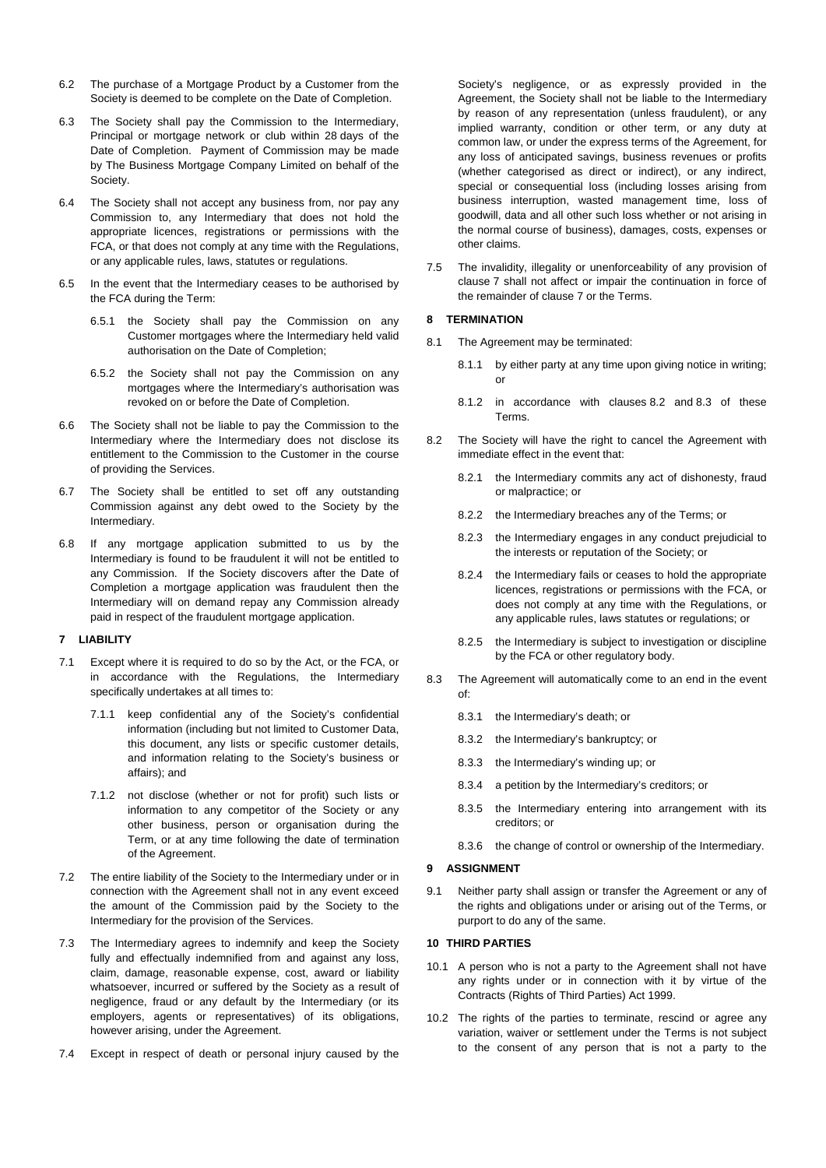- 6.2 The purchase of a Mortgage Product by a Customer from the Society is deemed to be complete on the Date of Completion.
- 6.3 The Society shall pay the Commission to the Intermediary, Principal or mortgage network or club within 28 days of the Date of Completion. Payment of Commission may be made by The Business Mortgage Company Limited on behalf of the Society.
- 6.4 The Society shall not accept any business from, nor pay any Commission to, any Intermediary that does not hold the appropriate licences, registrations or permissions with the FCA, or that does not comply at any time with the Regulations, or any applicable rules, laws, statutes or regulations.
- 6.5 In the event that the Intermediary ceases to be authorised by the FCA during the Term:
	- 6.5.1 the Society shall pay the Commission on any Customer mortgages where the Intermediary held valid authorisation on the Date of Completion;
	- 6.5.2 the Society shall not pay the Commission on any mortgages where the Intermediary's authorisation was revoked on or before the Date of Completion.
- 6.6 The Society shall not be liable to pay the Commission to the Intermediary where the Intermediary does not disclose its entitlement to the Commission to the Customer in the course of providing the Services.
- 6.7 The Society shall be entitled to set off any outstanding Commission against any debt owed to the Society by the Intermediary.
- 6.8 If any mortgage application submitted to us by the Intermediary is found to be fraudulent it will not be entitled to any Commission. If the Society discovers after the Date of Completion a mortgage application was fraudulent then the Intermediary will on demand repay any Commission already paid in respect of the fraudulent mortgage application.

#### **7 LIABILITY**

- 7.1 Except where it is required to do so by the Act, or the FCA, or in accordance with the Regulations, the Intermediary specifically undertakes at all times to:
	- 7.1.1 keep confidential any of the Society's confidential information (including but not limited to Customer Data, this document, any lists or specific customer details, and information relating to the Society's business or affairs); and
	- 7.1.2 not disclose (whether or not for profit) such lists or information to any competitor of the Society or any other business, person or organisation during the Term, or at any time following the date of termination of the Agreement.
- 7.2 The entire liability of the Society to the Intermediary under or in connection with the Agreement shall not in any event exceed the amount of the Commission paid by the Society to the Intermediary for the provision of the Services.
- 7.3 The Intermediary agrees to indemnify and keep the Society fully and effectually indemnified from and against any loss, claim, damage, reasonable expense, cost, award or liability whatsoever, incurred or suffered by the Society as a result of negligence, fraud or any default by the Intermediary (or its employers, agents or representatives) of its obligations, however arising, under the Agreement.
- 7.4 Except in respect of death or personal injury caused by the

Society's negligence, or as expressly provided in the Agreement, the Society shall not be liable to the Intermediary by reason of any representation (unless fraudulent), or any implied warranty, condition or other term, or any duty at common law, or under the express terms of the Agreement, for any loss of anticipated savings, business revenues or profits (whether categorised as direct or indirect), or any indirect, special or consequential loss (including losses arising from business interruption, wasted management time, loss of goodwill, data and all other such loss whether or not arising in the normal course of business), damages, costs, expenses or other claims.

7.5 The invalidity, illegality or unenforceability of any provision of clause 7 shall not affect or impair the continuation in force of the remainder of clause 7 or the Terms.

# **8 TERMINATION**

- 8.1 The Agreement may be terminated:
	- 8.1.1 by either party at any time upon giving notice in writing; or
	- 8.1.2 in accordance with clauses 8.2 and 8.3 of these Terms.
- 8.2 The Society will have the right to cancel the Agreement with immediate effect in the event that:
	- 8.2.1 the Intermediary commits any act of dishonesty, fraud or malpractice; or
	- 8.2.2 the Intermediary breaches any of the Terms; or
	- 8.2.3 the Intermediary engages in any conduct prejudicial to the interests or reputation of the Society; or
	- 8.2.4 the Intermediary fails or ceases to hold the appropriate licences, registrations or permissions with the FCA, or does not comply at any time with the Regulations, or any applicable rules, laws statutes or regulations; or
	- 8.2.5 the Intermediary is subject to investigation or discipline by the FCA or other regulatory body.
- 8.3 The Agreement will automatically come to an end in the event of:
	- 8.3.1 the Intermediary's death; or
	- 8.3.2 the Intermediary's bankruptcy; or
	- 8.3.3 the Intermediary's winding up; or
	- 8.3.4 a petition by the Intermediary's creditors; or
	- 8.3.5 the Intermediary entering into arrangement with its creditors; or
	- 8.3.6 the change of control or ownership of the Intermediary.

# **9 ASSIGNMENT**

9.1 Neither party shall assign or transfer the Agreement or any of the rights and obligations under or arising out of the Terms, or purport to do any of the same.

## **10 THIRD PARTIES**

- 10.1 A person who is not a party to the Agreement shall not have any rights under or in connection with it by virtue of the Contracts (Rights of Third Parties) Act 1999.
- 10.2 The rights of the parties to terminate, rescind or agree any variation, waiver or settlement under the Terms is not subject to the consent of any person that is not a party to the